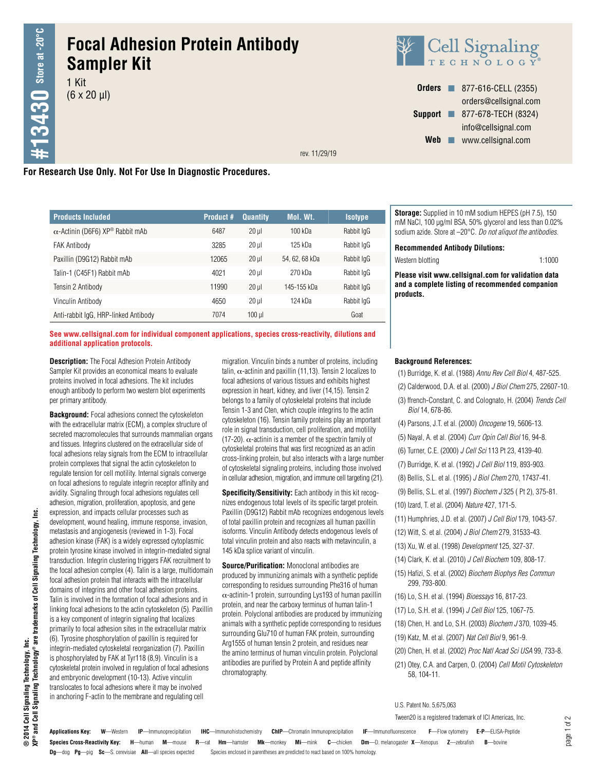# **Focal Adhesion Protein Antibody Sampler Kit**

1 Kit  $(6 \times 20 \mu l)$ 



**Orders n** 877-616-CELL (2355) orders@cellsignal.com **Support n** 877-678-TECH (8324) info@cellsignal.com Web www.cellsignal.com

rev. 11/29/19

# **For Research Use Only. Not For Use In Diagnostic Procedures.**

| <b>Products Included</b>                | <b>Product #</b> | <b>Quantity</b> | Mol. Wt.       | <b>Isotype</b> |
|-----------------------------------------|------------------|-----------------|----------------|----------------|
| $\alpha$ -Actinin (D6F6) XP® Rabbit mAb | 6487             | $20$ $\mu$      | $100$ kDa      | Rabbit IgG     |
| <b>FAK Antibody</b>                     | 3285             | $20$ $\mu$      | 125 kDa        | Rabbit IgG     |
| Paxillin (D9G12) Rabbit mAb             | 12065            | $20$ $\mu$      | 54, 62, 68 kDa | Rabbit IgG     |
| Talin-1 (C45F1) Rabbit mAb              | 4021             | $20$ $\mu$      | 270 kDa        | Rabbit IgG     |
| Tensin 2 Antibody                       | 11990            | $20$ $\mu$      | 145-155 kDa    | Rabbit IgG     |
| Vinculin Antibody                       | 4650             | $20$ $\mu$      | $124$ kDa      | Rabbit IgG     |
| Anti-rabbit IgG, HRP-linked Antibody    | 7074             | $100$ µl        |                | Goat           |

**Storage:** Supplied in 10 mM sodium HEPES (pH 7.5), 150 mM NaCl, 100 µg/ml BSA, 50% glycerol and less than 0.02% sodium azide. Store at –20°C. *Do not aliquot the antibodies.*

**Recommended Antibody Dilutions:**

Western blotting 1:1000

**Please visit www.cellsignal.com for validation data and a complete listing of recommended companion products.**

#### **See www.cellsignal.com for individual component applications, species cross-reactivity, dilutions and additional application protocols.**

**Description:** The Focal Adhesion Protein Antibody Sampler Kit provides an economical means to evaluate proteins involved in focal adhesions. The kit includes enough antibody to perform two western blot experiments per primary antibody.

**Background:** Focal adhesions connect the cytoskeleton with the extracellular matrix (ECM), a complex structure of secreted macromolecules that surrounds mammalian organs and tissues. Integrins clustered on the extracellular side of focal adhesions relay signals from the ECM to intracellular protein complexes that signal the actin cytoskeleton to regulate tension for cell motility. Internal signals converge on focal adhesions to regulate integrin receptor affinity and avidity. Signaling through focal adhesions regulates cell adhesion, migration, proliferation, apoptosis, and gene expression, and impacts cellular processes such as development, wound healing, immune response, invasion, metastasis and angiogenesis (reviewed in 1-3). Focal adhesion kinase (FAK) is a widely expressed cytoplasmic protein tyrosine kinase involved in integrin-mediated signal transduction. Integrin clustering triggers FAK recruitment to the focal adhesion complex (4). Talin is a large, multidomain focal adhesion protein that interacts with the intracellular domains of integrins and other focal adhesion proteins. Talin is involved in the formation of focal adhesions and in linking focal adhesions to the actin cytoskeleton (5). Paxillin is a key component of integrin signaling that localizes primarily to focal adhesion sites in the extracellular matrix (6). Tyrosine phosphorylation of paxillin is required for integrin-mediated cytoskeletal reorganization (7). Paxillin is phosphorylated by FAK at Tyr118 (8,9). Vinculin is a cytoskeletal protein involved in regulation of focal adhesions and embryonic development (10-13). Active vinculin translocates to focal adhesions where it may be involved in anchoring F-actin to the membrane and regulating cell

migration. Vinculin binds a number of proteins, including talin,  $\alpha$ -actinin and paxillin (11,13). Tensin 2 localizes to focal adhesions of various tissues and exhibits highest expression in heart, kidney, and liver (14,15). Tensin 2 belongs to a family of cytoskeletal proteins that include Tensin 1-3 and Cten, which couple integrins to the actin cytoskeleton (16). Tensin family proteins play an important role in signal transduction, cell proliferation, and motility (17-20).  $\alpha$ -actinin is a member of the spectrin family of cytoskeletal proteins that was first recognized as an actin cross-linking protein, but also interacts with a large number of cytoskeletal signaling proteins, including those involved in cellular adhesion, migration, and immune cell targeting (21).

**Specificity/Sensitivity:** Each antibody in this kit recognizes endogenous total levels of its specific target protein. Paxillin (D9G12) Rabbit mAb recognizes endogenous levels of total paxillin protein and recognizes all human paxillin isoforms. Vinculin Antibody detects endogenous levels of total vinculin protein and also reacts with metavinculin, a 145 kDa splice variant of vinculin.

**Source/Purification:** Monoclonal antibodies are produced by immunizing animals with a synthetic peptide corresponding to residues surrounding Phe316 of human  $\alpha$ -actinin-1 protein, surrounding Lys193 of human paxillin protein, and near the carboxy terminus of human talin-1 protein. Polyclonal antibodies are produced by immunizing animals with a synthetic peptide corresponding to residues surrounding Glu710 of human FAK protein, surrounding Arg1555 of human tensin 2 protein, and residues near the amino terminus of human vinculin protein. Polyclonal antibodies are purified by Protein A and peptide affinity chromatography.

#### **Background References:**

- (1) Burridge, K. et al. (1988) *Annu Rev Cell Biol* 4, 487-525.
- (2) Calderwood, D.A. et al. (2000) *J Biol Chem* 275, 22607-10.
- (3) ffrench-Constant, C. and Colognato, H. (2004) *Trends Cell Biol* 14, 678-86.
- (4) Parsons, J.T. et al. (2000) *Oncogene* 19, 5606-13.
- (5) Nayal, A. et al. (2004) *Curr Opin Cell Biol* 16, 94-8.
- (6) Turner, C.E. (2000) *J Cell Sci* 113 Pt 23, 4139-40.
- (7) Burridge, K. et al. (1992) *J Cell Biol* 119, 893-903.
- (8) Bellis, S.L. et al. (1995) *J Biol Chem* 270, 17437-41.
- (9) Bellis, S.L. et al. (1997) *Biochem J* 325 ( Pt 2), 375-81.
- (10) Izard, T. et al. (2004) *Nature* 427, 171-5.
- (11) Humphries, J.D. et al. (2007) *J Cell Biol* 179, 1043-57.
- (12) Witt, S. et al. (2004) *J Biol Chem* 279, 31533-43.
- (13) Xu, W. et al. (1998) *Development* 125, 327-37.
- (14) Clark, K. et al. (2010) *J Cell Biochem* 109, 808-17.
- (15) Hafizi, S. et al. (2002) *Biochem Biophys Res Commun* 299, 793-800.
- (16) Lo, S.H. et al. (1994) *Bioessays* 16, 817-23.
- (17) Lo, S.H. et al. (1994) *J Cell Biol* 125, 1067-75.
- (18) Chen, H. and Lo, S.H. (2003) *Biochem J* 370, 1039-45.
- (19) Katz, M. et al. (2007) *Nat Cell Biol* 9, 961-9.
- (20) Chen, H. et al. (2002) *Proc Natl Acad Sci USA* 99, 733-8.
- (21) Otey, C.A. and Carpen, O. (2004) *Cell Motil Cytoskeleton* 58, 104-11.

U.S. Patent No. 5,675,063

Tween20 is a registered trademark of ICI Americas, Inc.

trademarks of Cell Signaling Technology, ® 2014 Cell Signaling Technology, Inc.<br>XP® and Cell Signaling Technology® are **® 2014 Cell Signaling Technology, Inc.**

ۊ